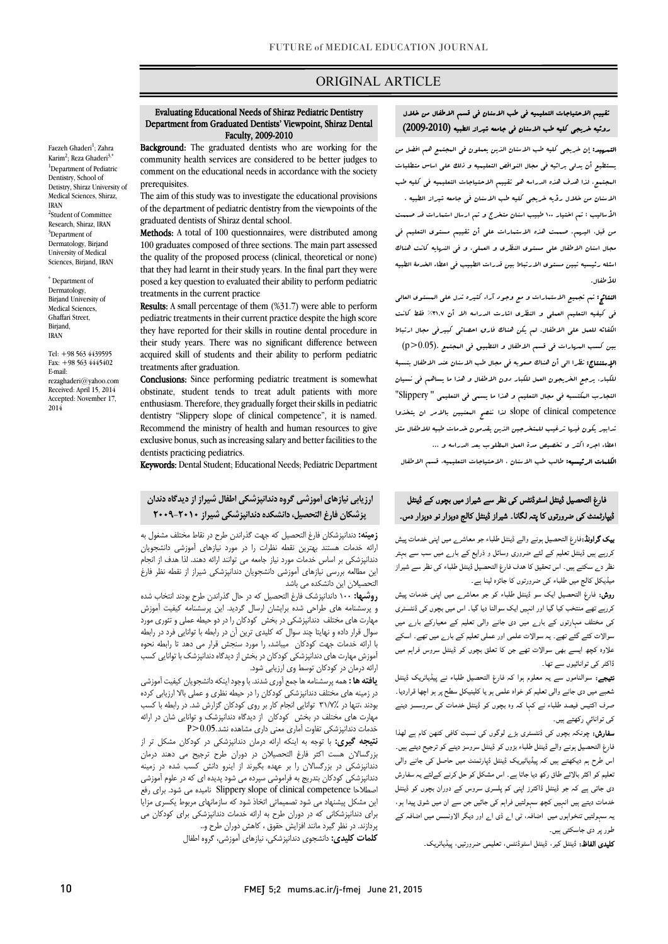# ORIGINAL ARTICLE

#### Department from Graduated Dentists' Viewpoint, Shiraz Dental Evaluating Educational Needs of Shiraz Pediatric Dentistry Faculty, 2009-2010

Ī

 Background: The graduated dentists who are working for the comment on the educational needs in accordance with the society <sup>1</sup>Department of Pediatric Detistry, Shiraz University of community health services are considered to be better judges to prerequisites.

Faezeh Ghaderi<sup>1</sup>; Zahra Karim<sup>2</sup>; Reza Ghaderi<sup>3,\*</sup>

Medical Sciences, Shiraz,

2 Student of Committee Research, Shiraz, IRAN <sup>3</sup>Department of Dermatology, Birjand University of Medical Sciences, Birjand, IRAN \* Department of Dermatology, Birjand University of Medical Sciences, Ghaffari Street, Birjand, IRAN

Tel: +98 563 4439595 Fax: +98 563 4445402

rezaghaderi@yahoo.com Received: April 15, 2014 Accepted: November 17,

E-mail:

2014

Dentistry, School of

IRAN

 The aim of this study was to investigate the educational provisions of the department of pediatric dentistry from the viewpoints of the graduated dentists of Shiraz dental school.

Methods: A total of 100 questionnaires, were distributed among 100 graduates composed of three sections. The main part assessed that they had learnt in their study years. In the final part they were posed a key question to evaluated their ability to perform pediatric the quality of the proposed process (clinical, theoretical or none) treatments in the current practice

treatments in the current practice<br>**Results**: A small percentage of them (%31.7) were able to perform pediatric treatments in their current practice despite the high score they have reported for their skills in routine dental procedure in their study years. There was no significant difference between acquired skill of students and their ability to perform pediatric<br>treatments after aradyation treatments after graduation.

Conclusions: Since performing pediatric treatment is somewhat obstinate, student tends to treat adult patients with more dentistry "Slippery slope of clinical competence", it is named. Recommend the ministry of health and human resources to give exclusive bonus, such as increasing salary and better facilities to the enthusiasm. Therefore, they gradually forget their skills in pediatric dentists practicing pediatrics.

Keywords: Dental Student; Educational Needs; Pediatric Department

# ارزیابی نیازهاي آموزشی گروه دندانپزشکی اطفال شیراز از دیدگاه دندان .<br>. پزشکان فارغ التحصیل، دانشکده دندانپزشکی شیراز 2009-2010

**رمینه.** دندانپزستان فارع التحصیل نه جهت ندراندن طرح در نقاط محتلف مسعول به<br>رائه خدمات هستند بهترین نقطه نظرات را در مورد نیازهای آموزشی دانشجویان دندانپزشکی بر اساس خدمات مورد نیاز جامعه می توانند ارائه دهند. لذا هدف از انجام این مطالعه بررسی نیازهاي آموزشی دانشجویان دندانپزشکی شیراز از نقطه نظر فارغ زمینه: دندانپزشکان فارغ التحصیل که جهت گذراندن طرح در نقاط مختلف مشغول به التحصیلان این دانشکده می باشد

سخصیانی این دانسخده می باشد<br>**روشها:** ۱۰۰ داندانپزشک فارغ التحصیل که در حال گذراندن طرح بودند انتخاب شده و پرسشنامه هاي طراحی شده برایشان ارسال گردید. این پرسشنامه کیفیت آموزش مهارت هاي مختلف دندانپزشکی در بخش کودکان را در دو حیطه عملی و تئوري مورد سوال قرار داده و نهایتا چند سوال که کلیدی ترین آن در رابطه با توانایی فرد در رابطه<br>مدید در ا آموزش مهارت هاي دندانپزشکی کودکان در بخش از دیدگاه دندانپزشک با توانایی کسب ارائه درمان در کودکان توسط وي ارزیابی شود. با ارائه خدمات جهت کودکان میباشد، را مورد سنجش قرار می دهد تا رابطه نحوه

 یافته ها :همه پرسشنامه ها جمع آوري شدند. با وجود اینکه دانشجویان کیفیت آموزشی بودند ،تنها در 31/7% توانایی انجام کار بر روي کودکان گزارش شد. در رابطه با کسب مهارت هاي مختلف در بخش کودکان از دیدگاه دندانپزشک و توانایی شان در ارائه خدمات دندانپزشکی تفاوت آماري معنی داري مشاهده نشد0.05.<P در زمینه هاي مختلف دندانپزشکی کودکان را در حیطه نظري و عملی بالا ارزیابی کرده

 بزرگسالان هست اکثر فارغ التحصیلان در دوران طرح ترجیح می دهند درمان دندانپزشکی در بزرگسالان را بر عهده بگیرند از اینرو دانش کسب شده در زمینه دندانپزشکی کودکان بتدریج به فراموشی سپرده می شود پدیده ای که در علوم آموزشی<br>شدید به دسته این مشکل پیشنهاد می شود تصمیماتی اتخاذ شود که سازمانهاي مربوط یکسري مزایا براي دندانپزشکانی که در دوران طرح به ارائه خدمات دندانپزشکی براي کودکان می پردازند. در نظر گیرد مانند افزایش حقوق ، کاهش دوران طرح و..<br>مرد بسیمه نتیجه گیري: با توجه به اینکه ارائه درمان دندانپزشکی در کودکان مشکل تر از اصطلاحا competence clinical of slope Slippery نامیده می شود. براي رفع

کلمات کلیدي: دانشجوي دندانپزشکی، نیازهاي آموزشی، گروه اطفال

۔ دی سے سے سے سے اس کے بعد ہوتا ہے۔<br>شعبے میں دی جانے والی تعلیم کو خواہ علمی ہو یا کلینیکل سطح پر ہو اچھا قراردیا۔ ۔<br>صرف اکتیس فیصد طلباء نے کہا کہ وہ بچوں کو ڈینٹل خدمات کی سروسسز دینے کی توانائي رکھتے ہیں۔

**نتیجے:** سوالناموں سے یہ معلوم ہوا کہ فارغ التحصیل طلباء نے پیڈیاٹریک ڈینٹل

**سفارش:** چونکہ بچوں کی ڈنٹسٹری بڑ<sub>ے</sub> لوگوں کی نسبت کافی کٹھن کام ہے لھذا فارغ التحصيل ہونے والے ڈينٹل طلباء بڑوں کو ڈينٹل سروسز دينے کو ترجيح ديتے ہيں۔ اس طرح ہم دیکھتے ہیں کہ پیڈیاٹیریک ڈینٹل ڈپارٹمنٹ میں حاصل کی جانے والی<br>۔ ۔ اس کے مسلمان کے مسلمان کے مسلمان کے مسلمان کے سات کے مسلمان کے مسلمان کے مسلمان کے مسلمان کے دوران بچوں کو ڈ<br>دی جاتنی ہے کہ جو ڈینٹل ڈاکٹرز اپنی کم پلسری سروس کے دوران بچوں کو ڈینٹل ۔<br>خدمات دیتے ہیں انہیں کچھ سہولتیں فراہم کی جائیں جن سے ان میں شوق پیدا ہو، بہ سہولتیں تنخواہوں میں اضافہ، ٹی اے ڈی اے اور دیگر الاونسس میں اضافہ کے طور پر دی جاسکتی ہیں۔ ۔<br>تعلیم کو اکثر بالائے طاق رکھ دیا جاتا ہے ۔ اس مشکل کو حل کرنے کےلئے یہ سفارش

**کلیدی الفاظ:** ڈینٹل کیر، ڈینٹل اسٹوڈنٹس، تعلیمی ضرورتیں، پیڈیاٹریک۔

#### Ī روئیه خریجی کلیه طب الاسنان فی جامعه شیراز الطبیه (2009-2010) تقییم الاحتیاجات التعلیمیه فی طب الاسنان فی قسم الاطفال من خلال

Ī

 التمهید: إن خریجی کلیه طب الاسنان الذین یعملون فی المجتمع هم افضل من یستطیع أن یدلی برائیه فی مجال النواقص التعلیمیه و ذلک علی اساس متطلبات المجتمع. لذا هدف هذه الدراسه هو تقییم الاحتیاجات التعلیمیه فی کلیه طب الاسنان من خلال رؤیه خریجی کلیه طب الاسنان فی جامعه شیراز الطبیه . الأسالیب : تم اختیار 100 طبیب اسنان متخرج و تم ارسال استمارات قد صممت من قبل، الیهم. صممت هذه الاستمارات علی أن تقییم مستوي التعلیم فی مجال اسنان الاطفال علی مستوي النظري و العملی. و فی النهایه کانت هناك اسئله رئیسیه تبین مستوي الارتباط بین قدرات الطبیب فی اعطاء الخدمۀ الطبیه للأطفال.

 النتائج: تم تجمیع الاستمارات و مع وجود آراء کثیره تدل علی المستوي العالی فی کیفیه التعلیم العملی و النظري اشارت الدراسه الا أن %31,7 فقط کانت الکفائه للعمل علی الاطفال. لم یکن هناك فارق احصائی کبیرفی مجال ارتباط بین کسب المهارات فی قسم الاطفال و التطبیق فی المجتمع .(0.05<p( الإستنتاج: نظرا الی أن هناك صعوبه فی مجال طب الاسنان عند الاطفال بنسبۀ للکبار، یرجع الخریجون العمل للکبار دون الاطفال و هذا ما یساهم فی نسیان التجارب المکتسبه فی مجال التعلیم و هذا ما یسمی فی التعلیمی " Slippery" competence clinical of slope لذا ننصح المعنیین بالامر ان یتخذوا تدابیر یکون فیها ترغیب للمتخرجین الذین یقدمون خدمات طبیه للاطفال مثل اعطاء اجره اکثر و تخصیص مدة العمل المطلوب بعد الدراسه و ...

الکلمات الرئیسیه: طالب طب الاسنان ، الاحتیاجات التعلیمیه، قسم الاطفال

# ۔<br>نارغ التحصیل ڈینٹل اسٹوڈنٹس کی نظر سے شیراز میں بچوں کے ڈینٹل Ĭ فارغ التحصیل ڈینٹل اسٹوڈنٹس کی نظر سے شیراز میں بچوں کے ڈینٹل<br>ٹیپارٹمنٹ کی ضرورتوں کا پتہ لگانا۔ شیراز ڈینٹل کالج دوہزار نو دوہزار دس۔

**بیک گراونڈ:**فارغ التحصیل ہونے والے ڈینٹل طلباء جو معاشر<sub>ے</sub> میں اپنی خدمات پیش کررہے ہیں ڈینٹل تعلیم کے لئے ضروری وسائل و ذرایع کے بارے میں سب سے بہتر نظر دے سکتے ہیں۔ اس تحقیق کا هدف فارغ التحصیل ڈینٹل طلباء کی نظر سے شیراز<br>. میڈیکل کالج میں طلباء کی ضرورتوں کا جائزہ لینا ہے۔

 روش: رغ ا ا ڈ ء ے ا ت ۔<br>کررہے تھے منتخب کیا گیا اور انہیں ایک سوالنا دیا گیا۔ اس میں بچوں کی ڈنٹسٹری کی مختلف مہارتوں کے بارے میں دی جانے والی تعلیم کے معیارکے بارے میں سوالات کئے گئے تھے۔ یہ سوالات علمی اور عملی تعلیم کے بار<sub>ے</sub> میں تھے۔ اسکے علاوہ کچھ ایسے بھی سوالات تھے جن کا تعلق بچوں کو ڈینٹل سروس فراہم میں ڈاکٹر ک*ی* توانائیوں سے تھا۔<br>۔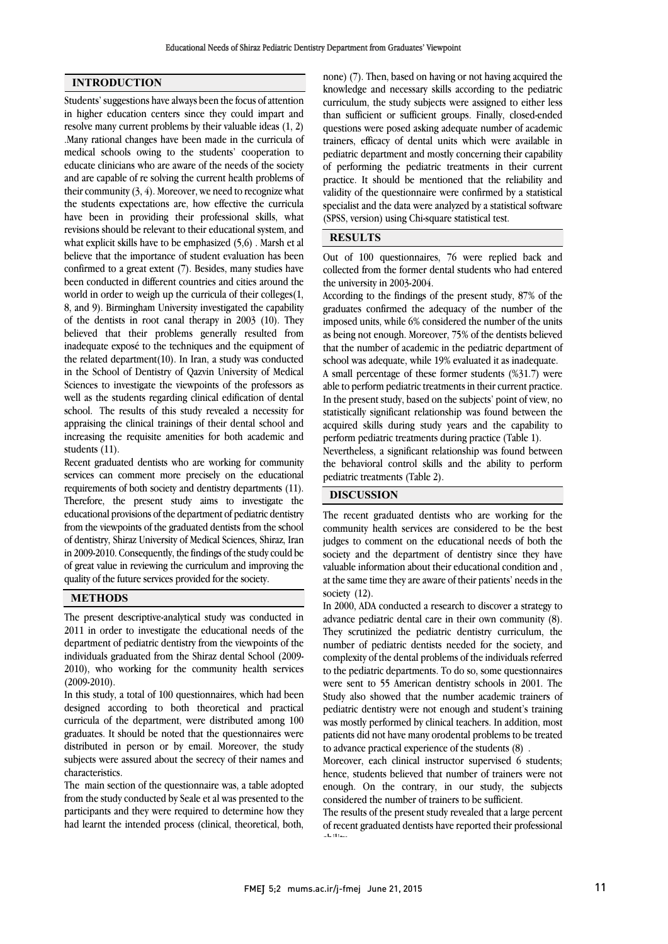#### INTRODUCTION

Students' suggestions have always been the focus of attention in higher education centers since they could impart and resolve many current problems by their valuable ideas (1, 2) .Many rational changes have been made in the curricula of medical schools owing to the students' cooperation to educate clinicians who are aware of the needs of the society and are capable of re solving the current health problems of their community  $(3, 4)$ . Moreover, we need to recognize what the students expectations are, how effective the curricula have been in providing their professional skills, what revisions should be relevant to their educational system, and what explicit skills have to be emphasized (5,6) . Marsh et al believe that the importance of student evaluation has been confirmed to a great extent (7). Besides, many studies have been conducted in different countries and cities around the world in order to weigh up the curricula of their colleges(1, 8, and 9). Birmingham University investigated the capability of the dentists in root canal therapy in 2003 (10). They believed that their problems generally resulted from inadequate exposé to the techniques and the equipment of the related department(10). In Iran, a study was conducted in the School of Dentistry of Qazvin University of Medical Sciences to investigate the viewpoints of the professors as well as the students regarding clinical edification of dental school. The results of this study revealed a necessity for appraising the clinical trainings of their dental school and increasing the requisite amenities for both academic and students (11).

Recent graduated dentists who are working for community services can comment more precisely on the educational requirements of both society and dentistry departments (11). Therefore, the present study aims to investigate the educational provisions of the department of pediatric dentistry from the viewpoints of the graduated dentists from the school of dentistry, Shiraz University of Medical Sciences, Shiraz, Iran in 2009-2010. Consequently, the findings of the study could be of great value in reviewing the curriculum and improving the quality of the future services provided for the society.

### **METHODS**

The present descriptive-analytical study was conducted in 2011 in order to investigate the educational needs of the department of pediatric dentistry from the viewpoints of the individuals graduated from the Shiraz dental School (2009- 2010), who working for the community health services (2009-2010).

In this study, a total of 100 questionnaires, which had been designed according to both theoretical and practical curricula of the department, were distributed among 100 graduates. It should be noted that the questionnaires were distributed in person or by email. Moreover, the study subjects were assured about the secrecy of their names and characteristics.

The main section of the questionnaire was, a table adopted from the study conducted by Seale et al was presented to the participants and they were required to determine how they had learnt the intended process (clinical, theoretical, both,

 none) (7). Then, based on having or not having acquired the knowledge and necessary skills according to the pediatric curriculum, the study subjects were assigned to either less than sufficient or sufficient groups. Finally, closed-ended trainers, efficacy of dental units which were available in pediatric department and mostly concerning their capability of performing the pediatric treatments in their current practice. It should be mentioned that the reliability and specialist and the data were analyzed by a statistical software (SPSS, version) using Chi-square statistical test. questions were posed asking adequate number of academic validity of the questionnaire were confirmed by a statistical

# RESULTS

 Out of 100 questionnaires, 76 were replied back and collected from the former dental students who had entered the university in 2003-2004.

 According to the findings of the present study, 87% of the graduates confirmed the adequacy of the number of the as being not enough. Moreover, 75% of the dentists believed that the number of academic in the pediatric department of school was adequate, while 19% evaluated it as inadequate. A small percentage of these former students (%31.7) were In the present study, based on the subjects' point of view, no statistically significant relationship was found between the imposed units, while 6% considered the number of the units able to perform pediatric treatments in their current practice.

 acquired skills during study years and the capability to Nevertheless, a significant relationship was found between perform pediatric treatments during practice (Table 1).

 the behavioral control skills and the ability to perform pediatric treatments (Table 2).

# DISCUSSION

 The recent graduated dentists who are working for the community health services are considered to be the best judges to comment on the educational needs of both the society and the department of dentistry since they have valuable information about their educational condition and , society (12). at the same time they are aware of their patients' needs in the

 In 2000, ADA conducted a research to discover a strategy to advance pediatric dental care in their own community (8). They scrutinized the pediatric dentistry curriculum, the complexity of the dental problems of the individuals referred to the pediatric departments. To do so, some questionnaires were sent to 55 American dentistry schools in 2001. The Study also showed that the number academic trainers of was mostly performed by clinical teachers. In addition, most patients did not have many orodental problems to be treated to advance practical experience of the students (8) . number of pediatric dentists needed for the society, and pediatric dentistry were not enough and student's training

 Moreover, each clinical instructor supervised 6 students; enough. On the contrary, in our study, the subjects considered the number of trainers to be sufficient. hence, students believed that number of trainers were not

 The results of the present study revealed that a large percent of recent graduated dentists have reported their professional ability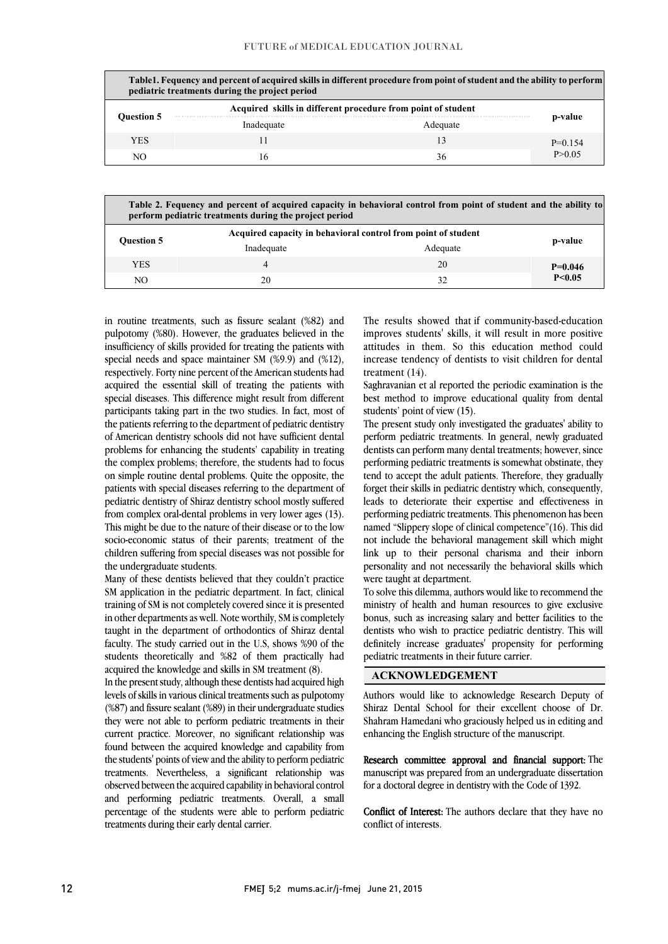|                   | pediatric treatments during the project period               | Table1. Fequency and percent of acquired skills in different procedure from point of student and the ability to perform |           |
|-------------------|--------------------------------------------------------------|-------------------------------------------------------------------------------------------------------------------------|-----------|
|                   | Acquired skills in different procedure from point of student |                                                                                                                         |           |
| <b>Ouestion 5</b> | Inadequate                                                   | Adequate                                                                                                                | p-value   |
| YES               |                                                              | 13                                                                                                                      | $P=0.154$ |
| NО                | 16                                                           | 36                                                                                                                      | P>0.05    |
|                   |                                                              |                                                                                                                         |           |

| Table 2. Fequency and percent of acquired capacity in behavioral control from point of student and the ability to<br>perform pediatric treatments during the project period |                                                               |          |           |  |
|-----------------------------------------------------------------------------------------------------------------------------------------------------------------------------|---------------------------------------------------------------|----------|-----------|--|
| <b>Ouestion 5</b>                                                                                                                                                           | Acquired capacity in behavioral control from point of student |          | p-value   |  |
|                                                                                                                                                                             | Inadequate                                                    | Adequate |           |  |
| <b>YES</b>                                                                                                                                                                  | 4                                                             | 20       | $P=0.046$ |  |
| NO                                                                                                                                                                          | 20                                                            | 32       | P < 0.05  |  |

 in routine treatments, such as fissure sealant (%82) and pulpotomy (%80). However, the graduates believed in the insufficiency of skills provided for treating the patients with special needs and space maintainer SM (%9.9) and (%12), acquired the essential skill of treating the patients with special diseases. This difference might result from different participants taking part in the two studies. In fact, most of the patients referring to the department of pediatric dentistry problems for enhancing the students' capability in treating the complex problems; therefore, the students had to focus on simple routine dental problems. Quite the opposite, the patients with special diseases referring to the department of from complex oral-dental problems in very lower ages (13). This might be due to the nature of their disease or to the low socio-economic status of their parents; treatment of the children suffering from special diseases was not possible for respectively. Forty nine percent of the American students had of American dentistry schools did not have sufficient dental pediatric dentistry of Shiraz dentistry school mostly suffered the undergraduate students.

 Many of these dentists believed that they couldn't practice SM application in the pediatric department. In fact, clinical training of SM is not completely covered since it is presented in other departments as well. Note worthily, SM is completely faculty. The study carried out in the U.S, shows %90 of the students theoretically and %82 of them practically had acquired the knowledge and skills in SM treatment (8). taught in the department of orthodontics of Shiraz dental

 In the present study, although these dentists had acquired high (%87) and fissure sealant (%89) in their undergraduate studies they were not able to perform pediatric treatments in their current practice. Moreover, no significant relationship was found between the acquired knowledge and capability from treatments. Nevertheless, a significant relationship was observed between the acquired capability in behavioral control and performing pediatric treatments. Overall, a small percentage of the students were able to perform pediatric levels of skills in various clinical treatments such as pulpotomy the students' points of view and the ability to perform pediatric treatments during their early dental carrier.

 The results showed that if community-based-education improves students' skills, it will result in more positive attitudes in them. So this education method could increase tendency of dentists to visit children for dental treatment (14).

 Saghravanian et al reported the periodic examination is the best method to improve educational quality from dental students' point of view (15).

 The present study only investigated the graduates' ability to dentists can perform many dental treatments; however, since performing pediatric treatments is somewhat obstinate, they tend to accept the adult patients. Therefore, they gradually forget their skills in pediatric dentistry which, consequently, performing pediatric treatments. This phenomenon has been named "Slippery slope of clinical competence"(16). This did not include the behavioral management skill which might link up to their personal charisma and their inborn personality and not necessarily the behavioral skills which perform pediatric treatments. In general, newly graduated leads to deteriorate their expertise and effectiveness in were taught at department.

 To solve this dilemma, authors would like to recommend the ministry of health and human resources to give exclusive bonus, such as increasing salary and better facilities to the definitely increase graduates' propensity for performing í dentists who wish to practice pediatric dentistry. This will pediatric treatments in their future carrier.

i

## ACKNOWLEDGEMENT

I Shiraz Dental School for their excellent choose of Dr. Shahram Hamedani who graciously helped us in editing and enhancing the English structure of the manuscript. Authors would like to acknowledge Research Deputy of

manuscript was prepared from an undergraduate dissertation for a doctoral degree in dentistry with the Code of 1392. Research committee approval and financial support: The

 Conflict of Interest: The authors declare that they have no conflict of interests.